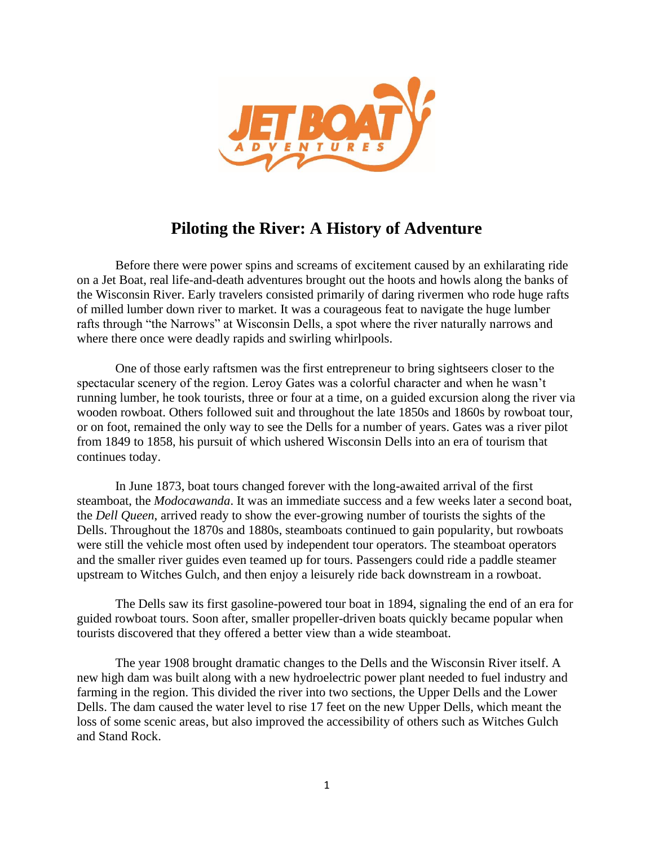

## **Piloting the River: A History of Adventure**

Before there were power spins and screams of excitement caused by an exhilarating ride on a Jet Boat, real life-and-death adventures brought out the hoots and howls along the banks of the Wisconsin River. Early travelers consisted primarily of daring rivermen who rode huge rafts of milled lumber down river to market. It was a courageous feat to navigate the huge lumber rafts through "the Narrows" at Wisconsin Dells, a spot where the river naturally narrows and where there once were deadly rapids and swirling whirlpools.

One of those early raftsmen was the first entrepreneur to bring sightseers closer to the spectacular scenery of the region. Leroy Gates was a colorful character and when he wasn't running lumber, he took tourists, three or four at a time, on a guided excursion along the river via wooden rowboat. Others followed suit and throughout the late 1850s and 1860s by rowboat tour, or on foot, remained the only way to see the Dells for a number of years. Gates was a river pilot from 1849 to 1858, his pursuit of which ushered Wisconsin Dells into an era of tourism that continues today.

In June 1873, boat tours changed forever with the long-awaited arrival of the first steamboat, the *Modocawanda*. It was an immediate success and a few weeks later a second boat, the *Dell Queen*, arrived ready to show the ever-growing number of tourists the sights of the Dells. Throughout the 1870s and 1880s, steamboats continued to gain popularity, but rowboats were still the vehicle most often used by independent tour operators. The steamboat operators and the smaller river guides even teamed up for tours. Passengers could ride a paddle steamer upstream to Witches Gulch, and then enjoy a leisurely ride back downstream in a rowboat.

The Dells saw its first gasoline-powered tour boat in 1894, signaling the end of an era for guided rowboat tours. Soon after, smaller propeller-driven boats quickly became popular when tourists discovered that they offered a better view than a wide steamboat.

The year 1908 brought dramatic changes to the Dells and the Wisconsin River itself. A new high dam was built along with a new hydroelectric power plant needed to fuel industry and farming in the region. This divided the river into two sections, the Upper Dells and the Lower Dells. The dam caused the water level to rise 17 feet on the new Upper Dells, which meant the loss of some scenic areas, but also improved the accessibility of others such as Witches Gulch and Stand Rock.